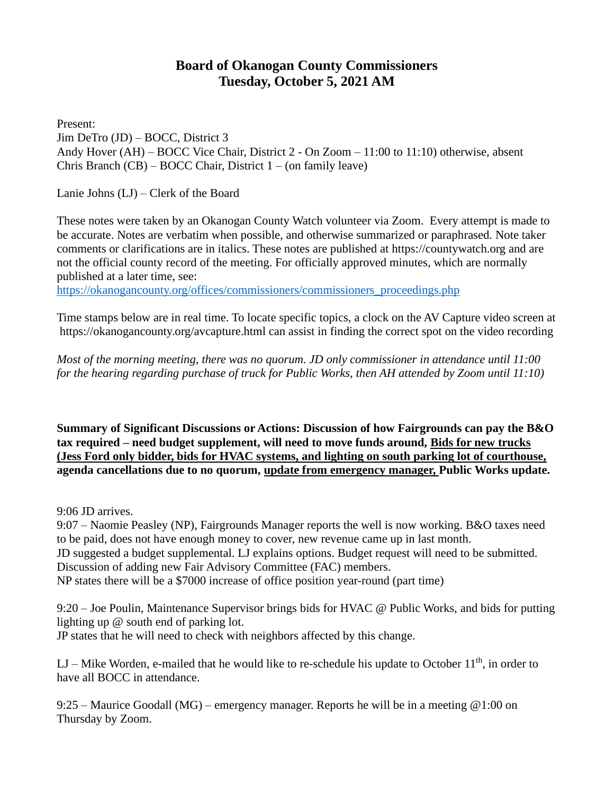## **Board of Okanogan County Commissioners Tuesday, October 5, 2021 AM**

Present: Jim DeTro (JD) – BOCC, District 3 Andy Hover (AH) – BOCC Vice Chair, District 2 - On Zoom – 11:00 to 11:10) otherwise, absent Chris Branch (CB) – BOCC Chair, District 1 – (on family leave)

Lanie Johns (LJ) – Clerk of the Board

These notes were taken by an Okanogan County Watch volunteer via Zoom. Every attempt is made to be accurate. Notes are verbatim when possible, and otherwise summarized or paraphrased. Note taker comments or clarifications are in italics. These notes are published at [https://countywatch.org](https://countywatch.irg/) and are not the official county record of the meeting. For officially approved minutes, which are normally published at a later time, see:

[https://okanogancounty.org/offices/commissioners/commissioners\\_proceedings.php](https://okanogancounty.org/offices/commissioners/commissioners_proceedings.php)

Time stamps below are in real time. To locate specific topics, a clock on the AV Capture video screen at [https://okanoganc](https://okanoganc/)ounty.org/avcapture.html can assist in finding the correct spot on the video recording

*Most of the morning meeting, there was no quorum. JD only commissioner in attendance until 11:00 for the hearing regarding purchase of truck for Public Works, then AH attended by Zoom until 11:10)*

**Summary of Significant Discussions or Actions: Discussion of how Fairgrounds can pay the B&O tax required – need budget supplement, will need to move funds around, Bids for new trucks (Jess Ford only bidder, bids for HVAC systems, and lighting on south parking lot of courthouse, agenda cancellations due to no quorum, update from emergency manager, Public Works update.**

9:06 JD arrives.

9:07 – Naomie Peasley (NP), Fairgrounds Manager reports the well is now working. B&O taxes need to be paid, does not have enough money to cover, new revenue came up in last month. JD suggested a budget supplemental. LJ explains options. Budget request will need to be submitted. Discussion of adding new Fair Advisory Committee (FAC) members. NP states there will be a \$7000 increase of office position year-round (part time)

9:20 – Joe Poulin, Maintenance Supervisor brings bids for HVAC @ Public Works, and bids for putting lighting up @ south end of parking lot. JP states that he will need to check with neighbors affected by this change.

LJ – Mike Worden, e-mailed that he would like to re-schedule his update to October  $11<sup>th</sup>$ , in order to have all BOCC in attendance.

9:25 – Maurice Goodall (MG) – emergency manager. Reports he will be in a meeting @1:00 on Thursday by Zoom.